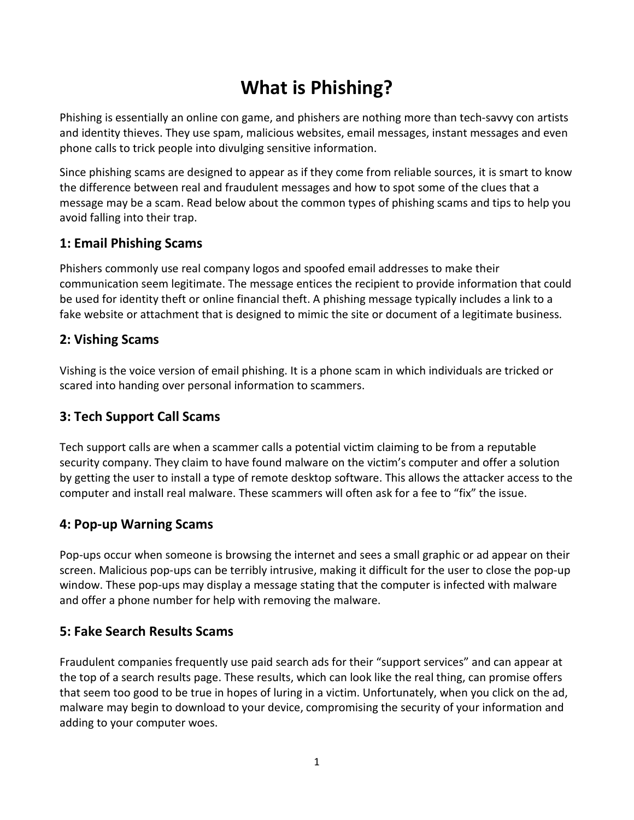# **What is Phishing?**

Phishing is essentially an online con game, and phishers are nothing more than tech-savvy con artists and identity thieves. They use spam, malicious websites, email messages, instant messages and even phone calls to trick people into divulging sensitive information.

Since phishing scams are designed to appear as if they come from reliable sources, it is smart to know the difference between real and fraudulent messages and how to spot some of the clues that a message may be a scam. Read below about the common types of phishing scams and tips to help you avoid falling into their trap.

#### **1: Email Phishing Scams**

Phishers commonly use real company logos and spoofed email addresses to make their communication seem legitimate. The message entices the recipient to provide information that could be used for identity theft or online financial theft. A phishing message typically includes a link to a fake website or attachment that is designed to mimic the site or document of a legitimate business.

#### **2: Vishing Scams**

Vishing is the voice version of email phishing. It is a phone scam in which individuals are tricked or scared into handing over personal information to scammers.

#### **3: Tech Support Call Scams**

Tech support calls are when a scammer calls a potential victim claiming to be from a reputable security company. They claim to have found malware on the victim's computer and offer a solution by getting the user to install a type of remote desktop software. This allows the attacker access to the computer and install real malware. These scammers will often ask for a fee to "fix" the issue.

#### **4: Pop-up Warning Scams**

Pop-ups occur when someone is browsing the internet and sees a small graphic or ad appear on their screen. Malicious pop-ups can be terribly intrusive, making it difficult for the user to close the pop-up window. These pop-ups may display a message stating that the computer is infected with malware and offer a phone number for help with removing the malware.

#### **5: Fake Search Results Scams**

Fraudulent companies frequently use paid search ads for their "support services" and can appear at the top of a search results page. These results, which can look like the real thing, can promise offers that seem too good to be true in hopes of luring in a victim. Unfortunately, when you click on the ad, malware may begin to download to your device, compromising the security of your information and adding to your computer woes.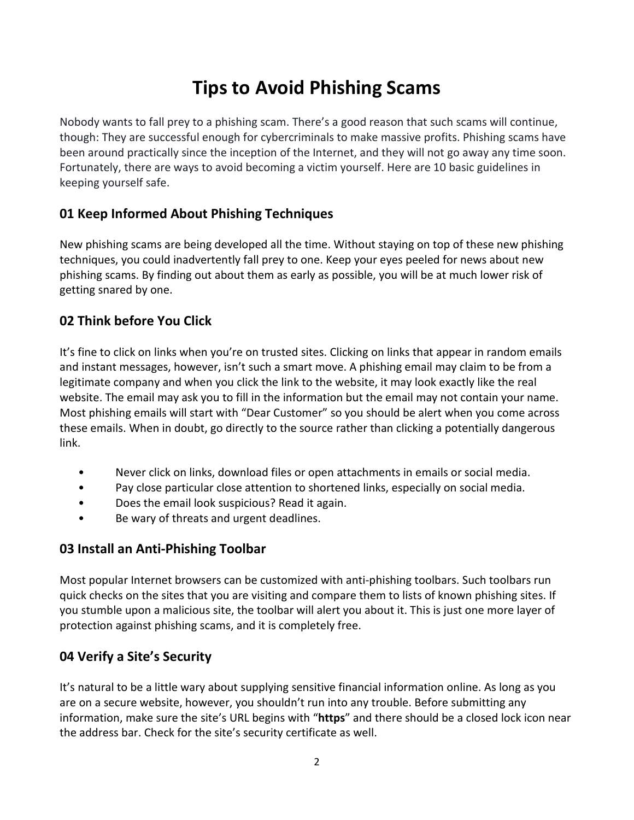# **Tips to Avoid Phishing Scams**

Nobody wants to fall prey to a phishing scam. There's a good reason that such scams will continue, though: They are successful enough for cybercriminals to make massive profits. Phishing scams have been around practically since the inception of the Internet, and they will not go away any time soon. Fortunately, there are ways to avoid becoming a victim yourself. Here are 10 basic guidelines in keeping yourself safe.

## **01 Keep Informed About Phishing Techniques**

New phishing scams are being developed all the time. Without staying on top of these new phishing techniques, you could inadvertently fall prey to one. Keep your eyes peeled for news about new phishing scams. By finding out about them as early as possible, you will be at much lower risk of getting snared by one.

#### **02 Think before You Click**

It's fine to click on links when you're on trusted sites. Clicking on links that appear in random emails and instant messages, however, isn't such a smart move. A phishing email may claim to be from a legitimate company and when you click the link to the website, it may look exactly like the real website. The email may ask you to fill in the information but the email may not contain your name. Most phishing emails will start with "Dear Customer" so you should be alert when you come across these emails. When in doubt, go directly to the source rather than clicking a potentially dangerous link.

- Never click on links, download files or open attachments in emails or social media.
- Pay close particular close attention to shortened links, especially on social media.
- Does the email look suspicious? Read it again.
- Be wary of threats and urgent deadlines.

#### **03 Install an Anti-Phishing Toolbar**

Most popular Internet browsers can be customized with anti-phishing toolbars. Such toolbars run quick checks on the sites that you are visiting and compare them to lists of known phishing sites. If you stumble upon a malicious site, the toolbar will alert you about it. This is just one more layer of protection against phishing scams, and it is completely free.

#### **04 Verify a Site's Security**

It's natural to be a little wary about supplying sensitive financial information online. As long as you are on a secure website, however, you shouldn't run into any trouble. Before submitting any information, make sure the site's URL begins with "**https**" and there should be a closed lock icon near the address bar. Check for the site's security certificate as well.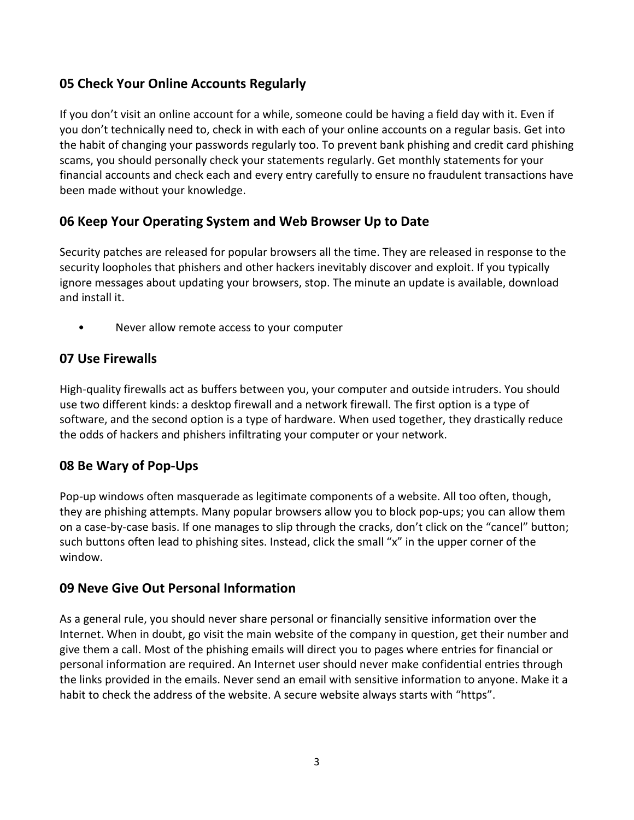## **05 Check Your Online Accounts Regularly**

If you don't visit an online account for a while, someone could be having a field day with it. Even if you don't technically need to, check in with each of your online accounts on a regular basis. Get into the habit of changing your passwords regularly too. To prevent bank phishing and credit card phishing scams, you should personally check your statements regularly. Get monthly statements for your financial accounts and check each and every entry carefully to ensure no fraudulent transactions have been made without your knowledge.

#### **06 Keep Your Operating System and Web Browser Up to Date**

Security patches are released for popular browsers all the time. They are released in response to the security loopholes that phishers and other hackers inevitably discover and exploit. If you typically ignore messages about updating your browsers, stop. The minute an update is available, download and install it.

• Never allow remote access to your computer

## **07 Use Firewalls**

High-quality firewalls act as buffers between you, your computer and outside intruders. You should use two different kinds: a desktop firewall and a network firewall. The first option is a type of software, and the second option is a type of hardware. When used together, they drastically reduce the odds of hackers and phishers infiltrating your computer or your network.

#### **08 Be Wary of Pop-Ups**

Pop-up windows often masquerade as legitimate components of a website. All too often, though, they are phishing attempts. Many popular browsers allow you to block pop-ups; you can allow them on a case-by-case basis. If one manages to slip through the cracks, don't click on the "cancel" button; such buttons often lead to phishing sites. Instead, click the small "x" in the upper corner of the window.

#### **09 Neve Give Out Personal Information**

As a general rule, you should never share personal or financially sensitive information over the Internet. When in doubt, go visit the main website of the company in question, get their number and give them a call. Most of the phishing emails will direct you to pages where entries for financial or personal information are required. An Internet user should never make confidential entries through the links provided in the emails. Never send an email with sensitive information to anyone. Make it a habit to check the address of the website. A secure website always starts with "https".